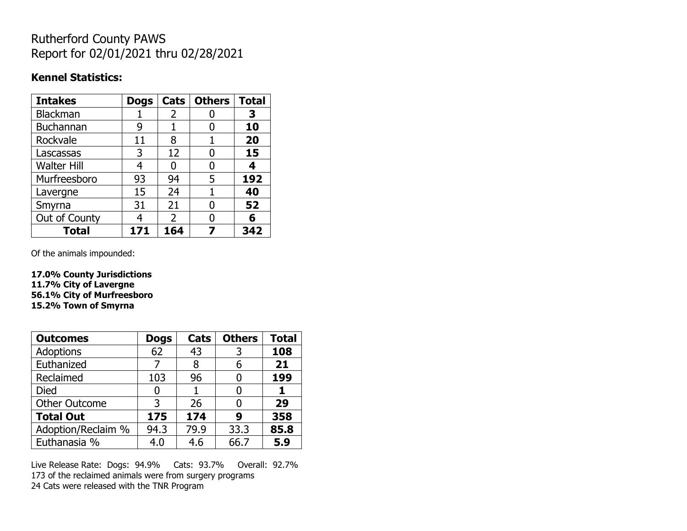## Rutherford County PAWS Report for 02/01/2021 thru 02/28/2021

#### **Kennel Statistics:**

| <b>Intakes</b>     | <b>Dogs</b> | Cats                     | <b>Others</b> | <b>Total</b> |
|--------------------|-------------|--------------------------|---------------|--------------|
| Blackman           |             | 2                        |               | З            |
| Buchannan          | 9           |                          |               | 10           |
| Rockvale           | 11          | 8                        |               | 20           |
| Lascassas          | 3           | 12                       | 0             | 15           |
| <b>Walter Hill</b> | 4           | O                        | O             | 4            |
| Murfreesboro       | 93          | 94                       | 5             | 192          |
| Lavergne           | 15          | 24                       |               | 40           |
| Smyrna             | 31          | 21                       |               | 52           |
| Out of County      | Δ           | $\overline{\phantom{a}}$ |               | 6            |
| <b>Total</b>       | 171         | 164                      |               | 342          |

Of the animals impounded:

**17.0% County Jurisdictions 11.7% City of Lavergne 56.1% City of Murfreesboro 15.2% Town of Smyrna**

| <b>Outcomes</b>      | <b>Dogs</b> | Cats | <b>Others</b> | <b>Total</b> |
|----------------------|-------------|------|---------------|--------------|
| Adoptions            | 62          | 43   | 3             | 108          |
| Euthanized           |             | 8    | 6             | 21           |
| Reclaimed            | 103         | 96   |               | 199          |
| <b>Died</b>          | 0           |      |               |              |
| <b>Other Outcome</b> | 3           | 26   |               | 29           |
| <b>Total Out</b>     | 175         | 174  | 9             | 358          |
| Adoption/Reclaim %   | 94.3        | 79.9 | 33.3          | 85.8         |
| Euthanasia %         | 4.0         | 4.6  | 66.7          | 5.9          |

Live Release Rate: Dogs: 94.9% Cats: 93.7% Overall: 92.7% 173 of the reclaimed animals were from surgery programs 24 Cats were released with the TNR Program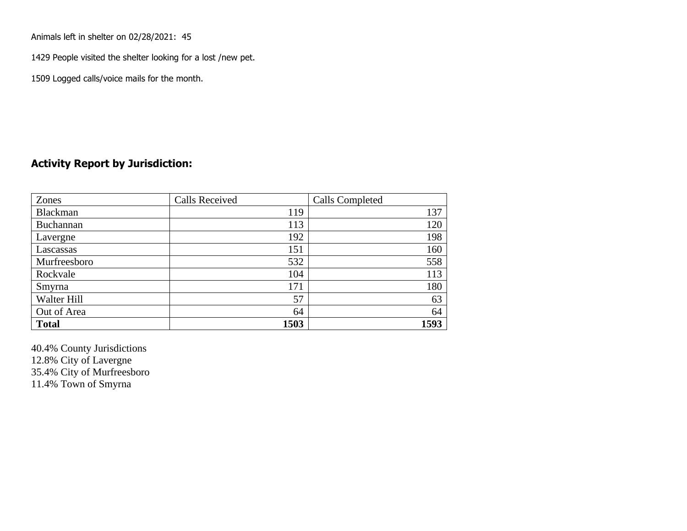Animals left in shelter on 02/28/2021: 45

1429 People visited the shelter looking for a lost /new pet.

1509 Logged calls/voice mails for the month.

### **Activity Report by Jurisdiction:**

| Zones           | <b>Calls Received</b> | Calls Completed |
|-----------------|-----------------------|-----------------|
| <b>Blackman</b> | 119                   | 137             |
| Buchannan       | 113                   | 120             |
| Lavergne        | 192                   | 198             |
| Lascassas       | 151                   | 160             |
| Murfreesboro    | 532                   | 558             |
| Rockvale        | 104                   | 113             |
| Smyrna          | 171                   | 180             |
| Walter Hill     | 57                    | 63              |
| Out of Area     | 64                    | 64              |
| <b>Total</b>    | 1503                  | 1593            |

40.4% County Jurisdictions 12.8% City of Lavergne 35.4% City of Murfreesboro 11.4% Town of Smyrna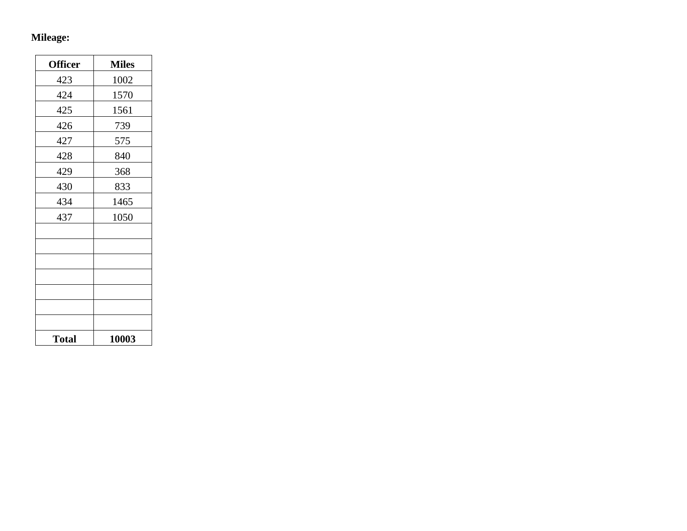## **Mileage:**

| <b>Officer</b> | <b>Miles</b> |
|----------------|--------------|
| 423            | 1002         |
| 424            | 1570         |
| 425            | 1561         |
| 426            | 739          |
| 427            | 575          |
| 428            | 840          |
| 429            | 368          |
| 430            | 833          |
| 434            | 1465         |
| 437            | 1050         |
|                |              |
|                |              |
|                |              |
|                |              |
|                |              |
|                |              |
|                |              |
| <b>Total</b>   | 10003        |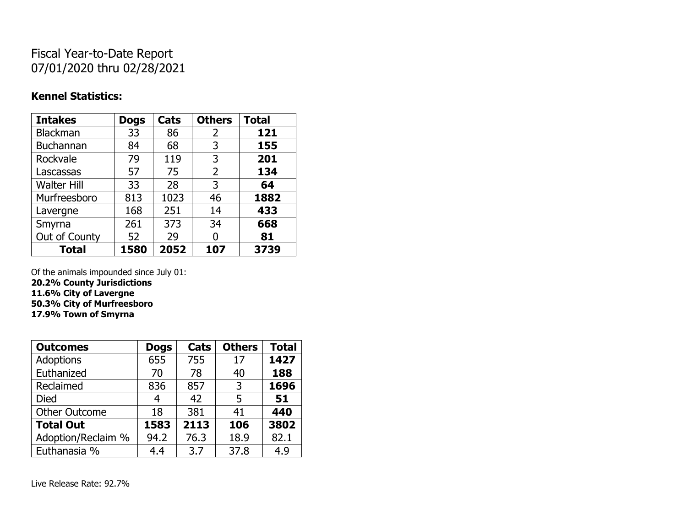# Fiscal Year-to-Date Report 07/01/2020 thru 02/28/2021

### **Kennel Statistics:**

| <b>Intakes</b>     | <b>Dogs</b> | Cats | <b>Others</b>  | <b>Total</b> |
|--------------------|-------------|------|----------------|--------------|
| <b>Blackman</b>    | 33          | 86   | 2              | 121          |
| <b>Buchannan</b>   | 84          | 68   | 3              | 155          |
| Rockvale           | 79          | 119  | 3              | 201          |
| Lascassas          | 57          | 75   | $\overline{2}$ | 134          |
| <b>Walter Hill</b> | 33          | 28   | 3              | 64           |
| Murfreesboro       | 813         | 1023 | 46             | 1882         |
| Lavergne           | 168         | 251  | 14             | 433          |
| Smyrna             | 261         | 373  | 34             | 668          |
| Out of County      | 52          | 29   | 0              | 81           |
| <b>Total</b>       | 1580        | 2052 | 107            | 3739         |

Of the animals impounded since July 01:

**20.2% County Jurisdictions**

**11.6% City of Lavergne**

**50.3% City of Murfreesboro**

**17.9% Town of Smyrna**

| <b>Outcomes</b>      | <b>Dogs</b> | Cats | <b>Others</b> | <b>Total</b> |
|----------------------|-------------|------|---------------|--------------|
| <b>Adoptions</b>     | 655         | 755  | 17            | 1427         |
| Euthanized           | 70          | 78   | 40            | 188          |
| Reclaimed            | 836         | 857  | 3             | 1696         |
| <b>Died</b>          | 4           | 42   | 5             | 51           |
| <b>Other Outcome</b> | 18          | 381  | 41            | 440          |
| <b>Total Out</b>     | 1583        | 2113 | 106           | 3802         |
| Adoption/Reclaim %   | 94.2        | 76.3 | 18.9          | 82.1         |
| Euthanasia %         | 4.4         | 3.7  | 37.8          | 4.9          |

Live Release Rate: 92.7%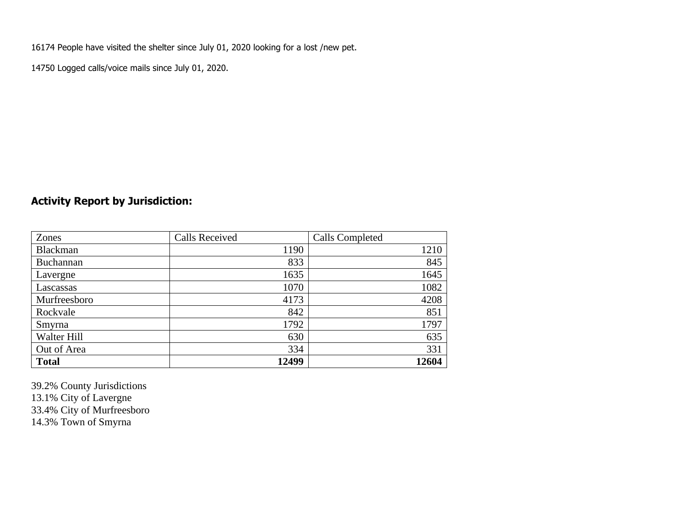16174 People have visited the shelter since July 01, 2020 looking for a lost /new pet.

14750 Logged calls/voice mails since July 01, 2020.

## **Activity Report by Jurisdiction:**

| Zones           | <b>Calls Received</b> | Calls Completed |
|-----------------|-----------------------|-----------------|
| <b>Blackman</b> | 1190                  | 1210            |
| Buchannan       | 833                   | 845             |
| Lavergne        | 1635                  | 1645            |
| Lascassas       | 1070                  | 1082            |
| Murfreesboro    | 4173                  | 4208            |
| Rockvale        | 842                   | 851             |
| Smyrna          | 1792                  | 1797            |
| Walter Hill     | 630                   | 635             |
| Out of Area     | 334                   | 331             |
| <b>Total</b>    | 12499                 | 12604           |

39.2% County Jurisdictions 13.1% City of Lavergne 33.4% City of Murfreesboro 14.3% Town of Smyrna